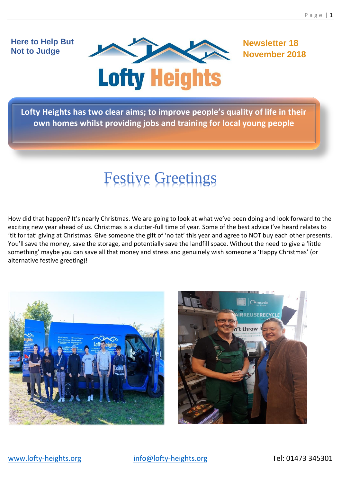# **Here to Help But Not to Judge**



**Newsletter 18 November 2018**

**Lofty Heights has two clear aims; to improve people's quality of life in their own homes whilst providing jobs and training for local young people**

# Festive Greetings

How did that happen? It's nearly Christmas. We are going to look at what we've been doing and look forward to the exciting new year ahead of us. Christmas is a clutter-full time of year. Some of the best advice I've heard relates to 'tit for tat' giving at Christmas. Give someone the gift of 'no tat' this year and agree to NOT buy each other presents. You'll save the money, save the storage, and potentially save the landfill space. Without the need to give a 'little something' maybe you can save all that money and stress and genuinely wish someone a 'Happy Christmas' (or alternative festive greeting)!



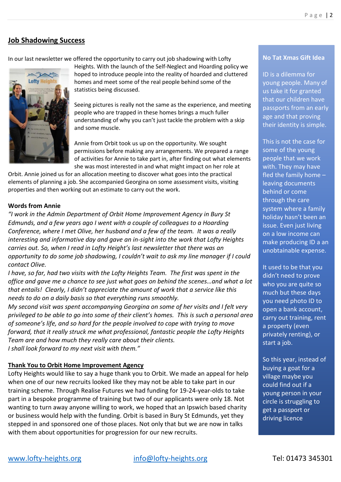#### **Job Shadowing Success**

In our last newsletter we offered the opportunity to carry out job shadowing with Lofty



Heights. With the launch of the Self-Neglect and Hoarding policy we hoped to introduce people into the reality of hoarded and cluttered homes and meet some of the real people behind some of the statistics being discussed.

Seeing pictures is really not the same as the experience, and meeting people who are trapped in these homes brings a much fuller understanding of why you can't just tackle the problem with a skip and some muscle.

Annie from Orbit took us up on the opportunity. We sought permissions before making any arrangements. We prepared a range of activities for Annie to take part in, after finding out what elements she was most interested in and what might impact on her role at

Orbit. Annie joined us for an allocation meeting to discover what goes into the practical elements of planning a job. She accompanied Georgina on some assessment visits, visiting properties and then working out an estimate to carry out the work.

#### **Words from Annie**

*"I work in the Admin Department of Orbit Home Improvement Agency in Bury St Edmunds, and a few years ago I went with a couple of colleagues to a Hoarding Conference, where I met Olive, her husband and a few of the team. It was a really interesting and informative day and gave an in-sight into the work that Lofty Heights carries out. So, when I read in Lofty Height's last newsletter that there was an opportunity to do some job shadowing, I couldn't wait to ask my line manager if I could contact Olive.*

*I have, so far, had two visits with the Lofty Heights Team. The first was spent in the office and gave me a chance to see just what goes on behind the scenes…and what a lot that entails! Clearly, I didn't appreciate the amount of work that a service like this needs to do on a daily basis so that everything runs smoothly.* 

*My second visit was spent accompanying Georgina on some of her visits and I felt very privileged to be able to go into some of their client's homes. This is such a personal area of someone's life, and so hard for the people involved to cope with trying to move forward, that it really struck me what professional, fantastic people the Lofty Heights Team are and how much they really care about their clients. I shall look forward to my next visit with them."*

#### **Thank You to Orbit Home Improvement Agency**

Lofty Heights would like to say a huge thank you to Orbit. We made an appeal for help when one of our new recruits looked like they may not be able to take part in our training scheme. Through Realise Futures we had funding for 19-24-year-olds to take part in a bespoke programme of training but two of our applicants were only 18. Not wanting to turn away anyone willing to work, we hoped that an Ipswich based charity or business would help with the funding. Orbit is based in Bury St Edmunds, yet they stepped in and sponsored one of those places. Not only that but we are now in talks with them about opportunities for progression for our new recruits.

#### **No Tat Xmas Gift Idea**

ID is a dilemma for young people. Many of us take it for granted that our children have passports from an early age and that proving their identity is simple.

This is not the case for some of the young people that we work with. They may have fled the family home – leaving documents behind or come through the care system where a family holiday hasn't been an issue. Even just living on a low income can make producing ID a an unobtainable expense.

It used to be that you didn't need to prove who you are quite so much but these days you need photo ID to open a bank account, carry out training, rent a property (even privately renting), or start a job.

So this year, instead of buying a goat for a village maybe you could find out if a young person in your circle is struggling to get a passport or driving licence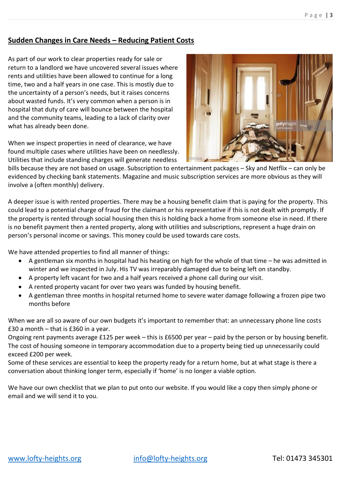## **Sudden Changes in Care Needs – Reducing Patient Costs**

As part of our work to clear properties ready for sale or return to a landlord we have uncovered several issues where rents and utilities have been allowed to continue for a long time, two and a half years in one case. This is mostly due to the uncertainty of a person's needs, but it raises concerns about wasted funds. It's very common when a person is in hospital that duty of care will bounce between the hospital and the community teams, leading to a lack of clarity over what has already been done.

When we inspect properties in need of clearance, we have found multiple cases where utilities have been on needlessly. Utilities that include standing charges will generate needless



bills because they are not based on usage. Subscription to entertainment packages – Sky and Netflix – can only be evidenced by checking bank statements. Magazine and music subscription services are more obvious as they will involve a (often monthly) delivery.

A deeper issue is with rented properties. There may be a housing benefit claim that is paying for the property. This could lead to a potential charge of fraud for the claimant or his representative if this is not dealt with promptly. If the property is rented through social housing then this is holding back a home from someone else in need. If there is no benefit payment then a rented property, along with utilities and subscriptions, represent a huge drain on person's personal income or savings. This money could be used towards care costs.

We have attended properties to find all manner of things:

- A gentleman six months in hospital had his heating on high for the whole of that time he was admitted in winter and we inspected in July. His TV was irreparably damaged due to being left on standby.
- A property left vacant for two and a half years received a phone call during our visit.
- A rented property vacant for over two years was funded by housing benefit.
- A gentleman three months in hospital returned home to severe water damage following a frozen pipe two months before

When we are all so aware of our own budgets it's important to remember that: an unnecessary phone line costs £30 a month – that is £360 in a year.

Ongoing rent payments average £125 per week – this is £6500 per year – paid by the person or by housing benefit. The cost of housing someone in temporary accommodation due to a property being tied up unnecessarily could exceed £200 per week.

Some of these services are essential to keep the property ready for a return home, but at what stage is there a conversation about thinking longer term, especially if 'home' is no longer a viable option.

We have our own checklist that we plan to put onto our website. If you would like a copy then simply phone or email and we will send it to you.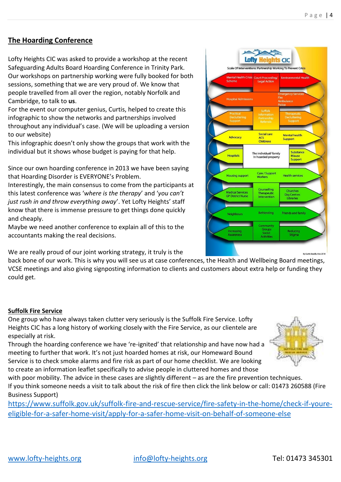## **The Hoarding Conference**

Lofty Heights CIC was asked to provide a workshop at the recent Safeguarding Adults Board Hoarding Conference in Trinity Park. Our workshops on partnership working were fully booked for both sessions, something that we are very proud of. We know that people travelled from all over the region, notably Norfolk and Cambridge, to talk to **us**.

For the event our computer genius, Curtis, helped to create this infographic to show the networks and partnerships involved throughout any individual's case. (We will be uploading a version to our website)

This infographic doesn't only show the groups that work with the individual but it shows whose budget is paying for that help.

Since our own hoarding conference in 2013 we have been saying that Hoarding Disorder is EVERYONE's Problem.

Interestingly, the main consensus to come from the participants at this latest conference was '*where is the therapy*' and '*you can't just rush in and throw everything away*'. Yet Lofty Heights' staff know that there is immense pressure to get things done quickly and cheaply.

Maybe we need another conference to explain all of this to the accountants making the real decisions.

We are really proud of our joint working strategy, it truly is the

back bone of our work. This is why you will see us at case conferences, the Health and Wellbeing Board meetings, VCSE meetings and also giving signposting information to clients and customers about extra help or funding they could get.

#### **Suffolk Fire Service**

One group who have always taken clutter very seriously is the Suffolk Fire Service. Lofty Heights CIC has a long history of working closely with the Fire Service, as our clientele are especially at risk.

Through the hoarding conference we have 're-ignited' that relationship and have now had a meeting to further that work. It's not just hoarded homes at risk, our Homeward Bound Service is to check smoke alarms and fire risk as part of our home checklist. We are looking to create an information leaflet specifically to advise people in cluttered homes and those

with poor mobility. The advice in these cases are slightly different – as are the fire prevention techniques. If you think someone needs a visit to talk about the risk of fire then click the link below or call: 01473 260588 (Fire Business Support)

[https://www.suffolk.gov.uk/suffolk-fire-and-rescue-service/fire-safety-in-the-home/check-if-youre](https://www.suffolk.gov.uk/suffolk-fire-and-rescue-service/fire-safety-in-the-home/check-if-youre-eligible-for-a-safer-home-visit/apply-for-a-safer-home-visit-on-behalf-of-someone-else)[eligible-for-a-safer-home-visit/apply-for-a-safer-home-visit-on-behalf-of-someone-else](https://www.suffolk.gov.uk/suffolk-fire-and-rescue-service/fire-safety-in-the-home/check-if-youre-eligible-for-a-safer-home-visit/apply-for-a-safer-home-visit-on-behalf-of-someone-else)



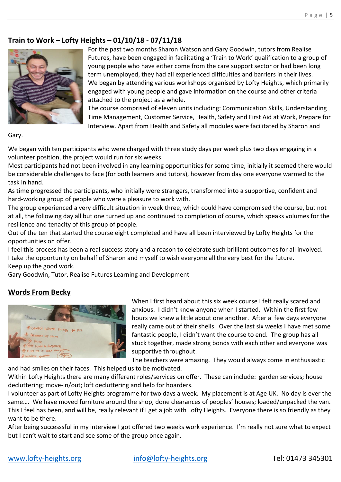# **Train to Work – Lofty Heights – 01/10/18 - 07/11/18**



For the past two months Sharon Watson and Gary Goodwin, tutors from Realise Futures, have been engaged in facilitating a 'Train to Work' qualification to a group of young people who have either come from the care support sector or had been long term unemployed, they had all experienced difficulties and barriers in their lives. We began by attending various workshops organised by Lofty Heights, which primarily engaged with young people and gave information on the course and other criteria attached to the project as a whole.

The course comprised of eleven units including: Communication Skills, Understanding Time Management, Customer Service, Health, Safety and First Aid at Work, Prepare for Interview. Apart from Health and Safety all modules were facilitated by Sharon and

Gary.

We began with ten participants who were charged with three study days per week plus two days engaging in a volunteer position, the project would run for six weeks

Most participants had not been involved in any learning opportunities for some time, initially it seemed there would be considerable challenges to face (for both learners and tutors), however from day one everyone warmed to the task in hand.

As time progressed the participants, who initially were strangers, transformed into a supportive, confident and hard-working group of people who were a pleasure to work with.

The group experienced a very difficult situation in week three, which could have compromised the course, but not at all, the following day all but one turned up and continued to completion of course, which speaks volumes for the resilience and tenacity of this group of people.

Out of the ten that started the course eight completed and have all been interviewed by Lofty Heights for the opportunities on offer.

I feel this process has been a real success story and a reason to celebrate such brilliant outcomes for all involved. I take the opportunity on behalf of Sharon and myself to wish everyone all the very best for the future. Keep up the good work.

Gary Goodwin, Tutor, Realise Futures Learning and Development

#### **Words From Becky**



When I first heard about this six week course I felt really scared and anxious. I didn't know anyone when I started. Within the first few hours we knew a little about one another. After a few days everyone really came out of their shells. Over the last six weeks I have met some fantastic people, I didn't want the course to end. The group has all stuck together, made strong bonds with each other and everyone was supportive throughout.

The teachers were amazing. They would always come in enthusiastic

and had smiles on their faces. This helped us to be motivated. Within Lofty Heights there are many different roles/services on offer. These can include: garden services; house decluttering; move-in/out; loft decluttering and help for hoarders.

I volunteer as part of Lofty Heights programme for two days a week. My placement is at Age UK. No day is ever the same…. We have moved furniture around the shop, done clearances of peoples' houses; loaded/unpacked the van. This I feel has been, and will be, really relevant if I get a job with Lofty Heights. Everyone there is so friendly as they want to be there.

After being successsful in my interview I got offered two weeks work experience. I'm really not sure what to expect but I can't wait to start and see some of the group once again.